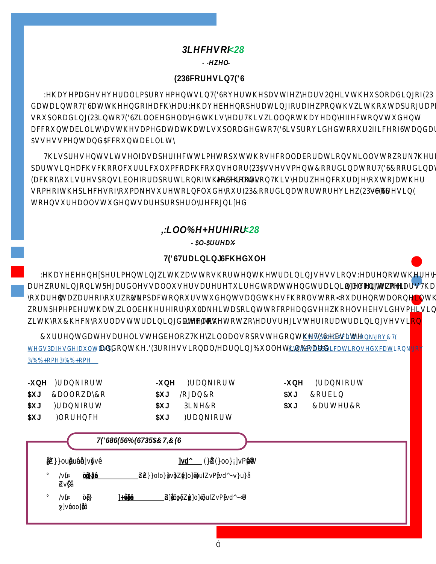## $3 L H F H V 2 B H$  $-HZHO$

### $(236FRUHVLQ7('6$

: H KDYH PDGH VHYHUDO LPSURYHPHQWV LQ 7('6 RYHU WKH SDVW GDWD LQWR 7('6 DW WKH HQG RI HDFK \HDU : H KDYH EHHQ RSHUDW VR XSORDGLQJ (23 LQWR 7('6 ZLOO EH GHOD\HG WKLV \HDU 7KLV Z DFFRXQWDELOLW\ DV WKH VDPH GDWD WKDW LV XSORDGHG WR 7('6 SVVHVVPHQW DQG SFFRXQWDELOLW\

7KLV SUHVHQWV LWVHOI DV D SHUIHFW WLPH WR SXW WKRVH FRO SDUWV LQ HDFK VFKRRO FXUULFXOXP FRDFK FRXQVHORU (23 \$VVH (DFK RI\RX LV UHVSRQVLEOH IR¶RUSDHUSDRWLMRLQR Q7RKLLW KHHDVUFKZRHR HONQFRXU VRPH RI WKH SLHFHV RI \RX PDNH VXUH WR LQFOXGH \RXB(6263 &RRI WR HQVXUH DOO VWXGHQWV DUH SURSHUO\ UHFRJQL]HG

# , :LOO %H <del>k</del>ebh iru  $-$  \$0  $-$  \$UUHDX

7('6 7UDLQLQJ 6FKHGXOH

: H KDYH EHHQ HISHULPHQWLQJ ZLWK ZD\V WR VKRUWHQ WKH WUD DUH ZRUNLQJ RQ LW 5HJDUGOHVV DOO XVHUV DUH UMHDXQBELG WWW.RPE **IRX DWHDZDUH RINGRESDEWNRQ RXU VWXGHQWV DQG WKH VFKRROV** ZRUN 5HPHPEHU WKDW, ZLOO EH KHUH IRU \RX ODNH LW D SRLQW ZLWK \RX &KHFN \RXU OD **\WI \VOBYQLWQB \GZWHIDIU\NRXUHJLVWHU <mark>IR</mark>U** 

& X U U H Q W G D W H V D U H O L V W H G E H O R Z 7 K H \ <u>kZ W O O / D O O XF DSVRLVK W</u> <mark>N G</mark> J R <u>WHGV3DJHVGH**DQXG**OWRQQV</u>WY[KH .'(3URIHVVLRQDO<u>KHWDVUSQLQ3S%SKFODQMHAWQL</u>GKKR  $3/%$  % + RPH  $3/%$  % + RPH

- X Q H ) U D Q N I R U W -XQH )UDQNIRUW -XQH )UDQNIRUW \$XJ &DOORZD\ &R \$XJ /RJDQ &R \$XJ & RUELQ \$XJ )UDQNIRUW \$XJ 3LNH & R \$XJ & DUWHU & R \$XJ ) ORUHQFH \$XJ ) UDQNIRUW Ø  $\hat{A}$  OE C • Z}}o uµ•š }u‰<u>dvšd</u> š(^MOEu $\frac{3}{4}$ Z Ÿ(})o•o}Á]v P •šµ vš•W  $\mathscr{C}$ 汇 **16** 正  $\mathscr{C}$ Ă Æ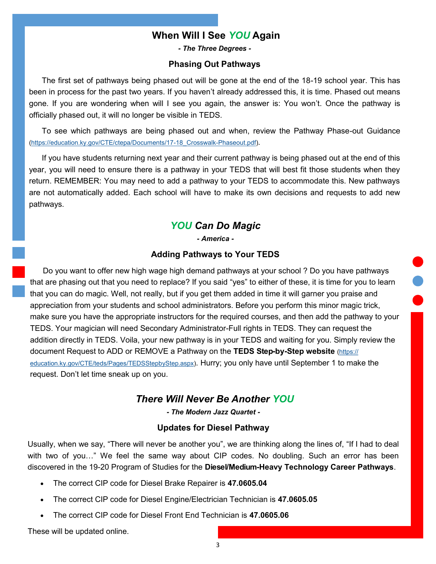## **When Will I See** *YOU* **Again**

*- The Three Degrees -*

#### **Phasing Out Pathways**

The first set of pathways being phased out will be gone at the end of the 18-19 school year. This has been in process for the past two years. If you haven't already addressed this, it is time. Phased out means gone. If you are wondering when will I see you again, the answer is: You won't. Once the pathway is officially phased out, it will no longer be visible in TEDS.

To see which pathways are being phased out and when, review the Pathway Phase-out Guidance ([https://education.ky.gov/CTE/ctepa/Documents/17](https://education.ky.gov/CTE/ctepa/Documents/17-18_Crosswalk-Phaseout.pdf)-18\_Crosswalk-Phaseout.pdf).

If you have students returning next year and their current pathway is being phased out at the end of this year, you will need to ensure there is a pathway in your TEDS that will best fit those students when they return. REMEMBER: You may need to add a pathway to your TEDS to accommodate this. New pathways are not automatically added. Each school will have to make its own decisions and requests to add new pathways.

# *YOU Can Do Magic*

*- America -*

### **Adding Pathways to Your TEDS**

Do you want to offer new high wage high demand pathways at your school ? Do you have pathways that are phasing out that you need to replace? If you said "yes" to either of these, it is time for you to learn that you can do magic. Well, not really, but if you get them added in time it will garner you praise and appreciation from your students and school administrators. Before you perform this minor magic trick, make sure you have the appropriate instructors for the required courses, and then add the pathway to your TEDS. Your magician will need Secondary Administrator-Full rights in TEDS. They can request the addition directly in TEDS. Voila, your new pathway is in your TEDS and waiting for you. Simply review the document Request to ADD or REMOVE a Pathway on the **TEDS Step-by-Step website** [\(https://](https://education.ky.gov/CTE/teds/Pages/TEDSStepbyStep.aspx) [education.ky.gov/CTE/teds/Pages/TEDSStepbyStep.aspx\)](https://education.ky.gov/CTE/teds/Pages/TEDSStepbyStep.aspx). Hurry; you only have until September 1 to make the request. Don't let time sneak up on you.

### *There Will Never Be Another YOU*

*- The Modern Jazz Quartet -*

### **Updates for Diesel Pathway**

Usually, when we say, "There will never be another you", we are thinking along the lines of, "If I had to deal with two of you…" We feel the same way about CIP codes. No doubling. Such an error has been discovered in the 19-20 Program of Studies for the **Diesel/Medium-Heavy Technology Career Pathways**.

- The correct CIP code for Diesel Brake Repairer is **47.0605.04**
- The correct CIP code for Diesel Engine/Electrician Technician is **47.0605.05**
- The correct CIP code for Diesel Front End Technician is **47.0605.06**

These will be updated online.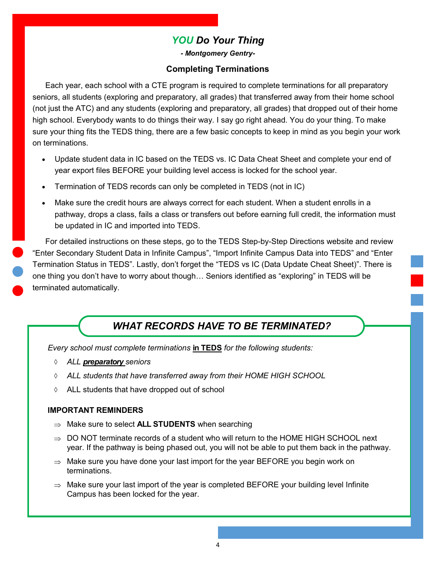# *YOU Do Your Thing*

*- Montgomery Gentry-*

## **Completing Terminations**

Each year, each school with a CTE program is required to complete terminations for all preparatory seniors, all students (exploring and preparatory, all grades) that transferred away from their home school (not just the ATC) and any students (exploring and preparatory, all grades) that dropped out of their home high school. Everybody wants to do things their way. I say go right ahead. You do your thing. To make sure your thing fits the TEDS thing, there are a few basic concepts to keep in mind as you begin your work on terminations.

- Update student data in IC based on the TEDS vs. IC Data Cheat Sheet and complete your end of year export files BEFORE your building level access is locked for the school year.
- Termination of TEDS records can only be completed in TEDS (not in IC)
- Make sure the credit hours are always correct for each student. When a student enrolls in a pathway, drops a class, fails a class or transfers out before earning full credit, the information must be updated in IC and imported into TEDS.

For detailed instructions on these steps, go to the TEDS Step-by-Step Directions website and review "Enter Secondary Student Data in Infinite Campus", "Import Infinite Campus Data into TEDS" and "Enter Termination Status in TEDS". Lastly, don't forget the "TEDS vs IC (Data Update Cheat Sheet)". There is one thing you don't have to worry about though… Seniors identified as "exploring" in TEDS will be terminated automatically.

# *WHAT RECORDS HAVE TO BE TERMINATED?*

*Every school must complete terminations* **in TEDS** *for the following students:*

- *ALL preparatory seniors*
- *ALL students that have transferred away from their HOME HIGH SCHOOL*
- ALL students that have dropped out of school

### **IMPORTANT REMINDERS**

- $\Rightarrow$  Make sure to select **ALL STUDENTS** when searching
- $\Rightarrow$  DO NOT terminate records of a student who will return to the HOME HIGH SCHOOL next year. If the pathway is being phased out, you will not be able to put them back in the pathway.
- $\Rightarrow$  Make sure you have done your last import for the year BEFORE you begin work on terminations.
- $\Rightarrow$  Make sure your last import of the year is completed BEFORE your building level Infinite Campus has been locked for the year.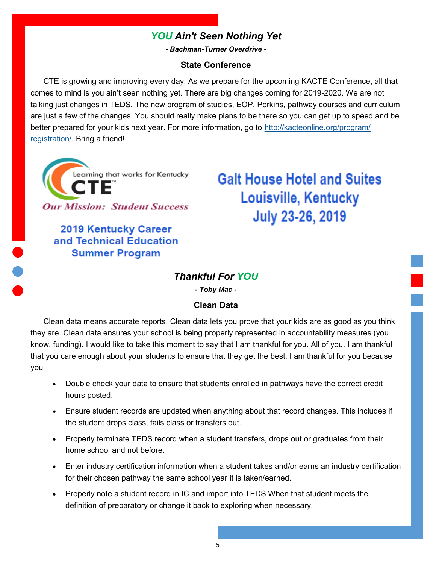# *YOU Ain't Seen Nothing Yet*

*- Bachman-Turner Overdrive -*

### **State Conference**

CTE is growing and improving every day. As we prepare for the upcoming KACTE Conference, all that comes to mind is you ain't seen nothing yet. There are big changes coming for 2019-2020. We are not talking just changes in TEDS. The new program of studies, EOP, Perkins, pathway courses and curriculum are just a few of the changes. You should really make plans to be there so you can get up to speed and be better prepared for your kids next year. For more information, go to [http://kacteonline.org/program/](http://kacteonline.org/program/registration/) [registration/.](http://kacteonline.org/program/registration/) Bring a friend!

Learning that works for Kentucky **Our Mission: Student Success** 

> **2019 Kentucky Career** and Technical Education **Summer Program**

**Galt House Hotel and Suites Louisville, Kentucky** July 23-26, 2019

## *Thankful For YOU*

*- Toby Mac -*

### **Clean Data**

Clean data means accurate reports. Clean data lets you prove that your kids are as good as you think they are. Clean data ensures your school is being properly represented in accountability measures (you know, funding). I would like to take this moment to say that I am thankful for you. All of you. I am thankful that you care enough about your students to ensure that they get the best. I am thankful for you because you

- Double check your data to ensure that students enrolled in pathways have the correct credit hours posted.
- Ensure student records are updated when anything about that record changes. This includes if the student drops class, fails class or transfers out.
- Properly terminate TEDS record when a student transfers, drops out or graduates from their home school and not before.
- Enter industry certification information when a student takes and/or earns an industry certification for their chosen pathway the same school year it is taken/earned.
- Properly note a student record in IC and import into TEDS When that student meets the definition of preparatory or change it back to exploring when necessary.